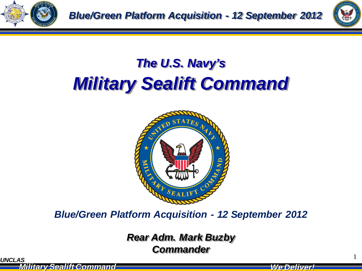



### *The U.S. Navy's Military Sealift Command*



*Blue/Green Platform Acquisition - 12 September 2012*

**UNCLAS** 1 *Rear Adm. Mark Buzby Commander*

*Military Sealift Command Military Sealift Command We Deliver! We Deliver!*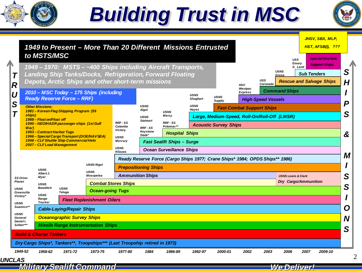

## *Building Trust in MSC*





*Military Sealift Command Military Sealift Command We Deliver! We Deliver!*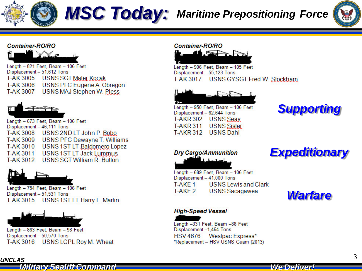

## *MSC Today: Maritime Prepositioning Force*



#### **Container-RO/RO**



Length - 821 Feet, Beam - 106 Feet Displacement - 51,612 Tons T-AK 3005 USNS SGT Matei Kocak T-AK 3006 USNS PFC Eugene A. Obregon **T-AK 3007** USNS MAJ Stephen W. Pless



Length - 673 Feet, Beam - 106 Feet Displacement - 46,111 Tons T-AK 3008 USNS 2ND LT John P. Bobo T-AK 3009 USNS PFC Dewayne T. Williams T-AK 3010 USNS 1ST LT Baldomero Lopez **T-AK3011 USNS 1ST LT Jack Lummus** T-AK 3012 USNS SGT William R. Button



Length - 754 Feet, Beam - 106 Feet Displacement - 51,531 Tons T-AK 3015 USNS 1ST LT Harry L. Martin



Length - 863 Feet, Beam - 98 Feet Displacement - 50,570 Tons T-AK 3016 USNS LCPL Roy M. Wheat

#### **Container-RO/RO**



Length - 906 Feet, Beam - 105 Feet Displacement - 55,123 Tons T-AK 3017 USNS GYSGT Fred W. Stockham



Length - 950 Feet, Beam - 106 Feet Displacement - 62,644 Tons **T-AKR 302 USNS** Seav **T-AKR 311 USNS Sisler USNS Dahl T-AKR 312** 

*Supporting*

*Expeditionary*

**Dry Cargo/Ammunition** 

Length - 689 Feet, Beam - 106 Feet Displacement - 41,000 Tons T-AKE 1 **USNS Lewis and Clark** T-AKE 2 **USNS** Sacagawea

### *Warfare*

#### **High-Speed Vessel**

*Military Sealift Command Military Sealift Command We Deliver! We Deliver!*

Length -331 Feet, Beam -88 Feet Displacement-1,464 Tons **HSV 4676** Westpac Express\* \*Replacement - HSV USNS Guam (2013)

*UNCLAS* <sup>3</sup>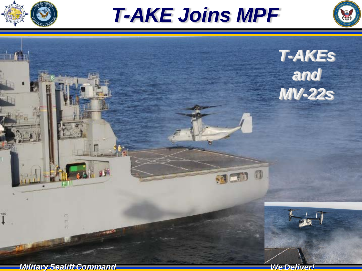

*T-AKE Joins MPF*



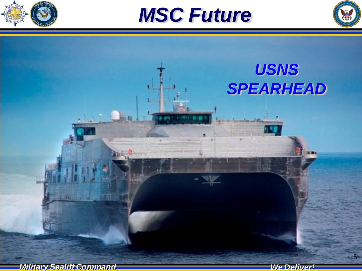





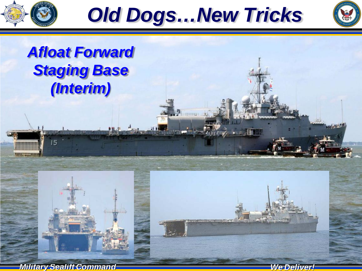





### *Afloat Forward Staging Base (Interim)*



 $15$ 

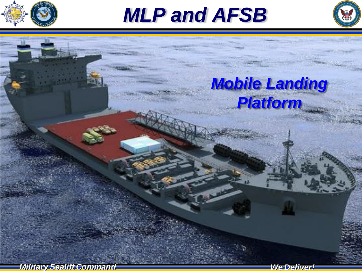

*MLP and AFSB*